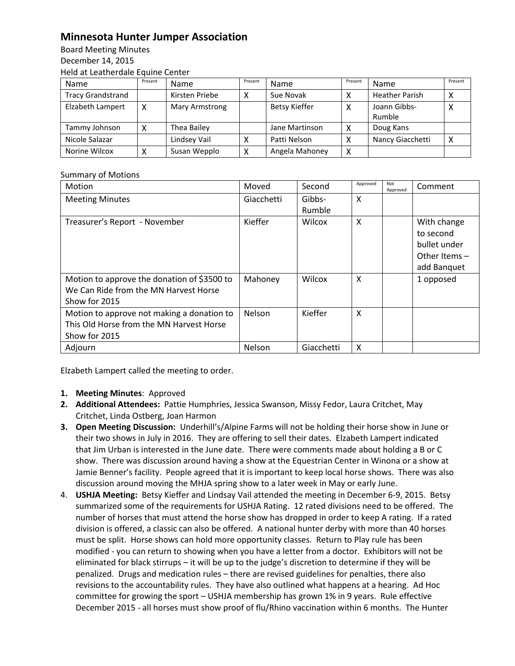## **Minnesota Hunter Jumper Association**

Board Meeting Minutes December 14, 2015 Held at Leatherdale Equine Center

| <b>Name</b>              | Present | <b>Name</b>    | Present | Name                 | Present | Name                  | Present |
|--------------------------|---------|----------------|---------|----------------------|---------|-----------------------|---------|
| <b>Tracy Grandstrand</b> |         | Kirsten Priebe | х       | Sue Novak            |         | <b>Heather Parish</b> |         |
| Elzabeth Lampert         | х       | Mary Armstrong |         | <b>Betsy Kieffer</b> | х       | Joann Gibbs-          | ⋏       |
|                          |         |                |         |                      |         | Rumble                |         |
| Tammy Johnson            |         | Thea Bailey    |         | Jane Martinson       |         | Doug Kans             |         |
| Nicole Salazar           |         | Lindsey Vail   |         | Patti Nelson         |         | Nancy Giacchetti      |         |
| Norine Wilcox            |         | Susan Wepplo   | Χ       | Angela Mahoney       | х       |                       |         |

## Summary of Motions

| Motion                                      | Moved      | Second     | Approved | Not<br>Approved | Comment         |
|---------------------------------------------|------------|------------|----------|-----------------|-----------------|
| <b>Meeting Minutes</b>                      | Giacchetti | Gibbs-     | $\times$ |                 |                 |
|                                             |            | Rumble     |          |                 |                 |
| Treasurer's Report - November               | Kieffer    | Wilcox     | X        |                 | With change     |
|                                             |            |            |          |                 | to second       |
|                                             |            |            |          |                 | bullet under    |
|                                             |            |            |          |                 | Other Items $-$ |
|                                             |            |            |          |                 | add Banquet     |
| Motion to approve the donation of \$3500 to | Mahoney    | Wilcox     | X        |                 | 1 opposed       |
| We Can Ride from the MN Harvest Horse       |            |            |          |                 |                 |
| Show for 2015                               |            |            |          |                 |                 |
| Motion to approve not making a donation to  | Nelson     | Kieffer    | X        |                 |                 |
| This Old Horse from the MN Harvest Horse    |            |            |          |                 |                 |
| Show for 2015                               |            |            |          |                 |                 |
| Adjourn                                     | Nelson     | Giacchetti | X        |                 |                 |

Elzabeth Lampert called the meeting to order.

- **1. Meeting Minutes**: Approved
- **2. Additional Attendees:** Pattie Humphries, Jessica Swanson, Missy Fedor, Laura Critchet, May Critchet, Linda Ostberg, Joan Harmon
- **3. Open Meeting Discussion:** Underhill's/Alpine Farms will not be holding their horse show in June or their two shows in July in 2016. They are offering to sell their dates. Elzabeth Lampert indicated that Jim Urban is interested in the June date. There were comments made about holding a B or C show. There was discussion around having a show at the Equestrian Center in Winona or a show at Jamie Benner's facility. People agreed that it is important to keep local horse shows. There was also discussion around moving the MHJA spring show to a later week in May or early June.
- 4. **USHJA Meeting:** Betsy Kieffer and Lindsay Vail attended the meeting in December 6-9, 2015. Betsy summarized some of the requirements for USHJA Rating. 12 rated divisions need to be offered. The number of horses that must attend the horse show has dropped in order to keep A rating. If a rated division is offered, a classic can also be offered. A national hunter derby with more than 40 horses must be split. Horse shows can hold more opportunity classes. Return to Play rule has been modified - you can return to showing when you have a letter from a doctor. Exhibitors will not be eliminated for black stirrups – it will be up to the judge's discretion to determine if they will be penalized. Drugs and medication rules – there are revised guidelines for penalties, there also revisions to the accountability rules. They have also outlined what happens at a hearing. Ad Hoc committee for growing the sport – USHJA membership has grown 1% in 9 years. Rule effective December 2015 - all horses must show proof of flu/Rhino vaccination within 6 months. The Hunter